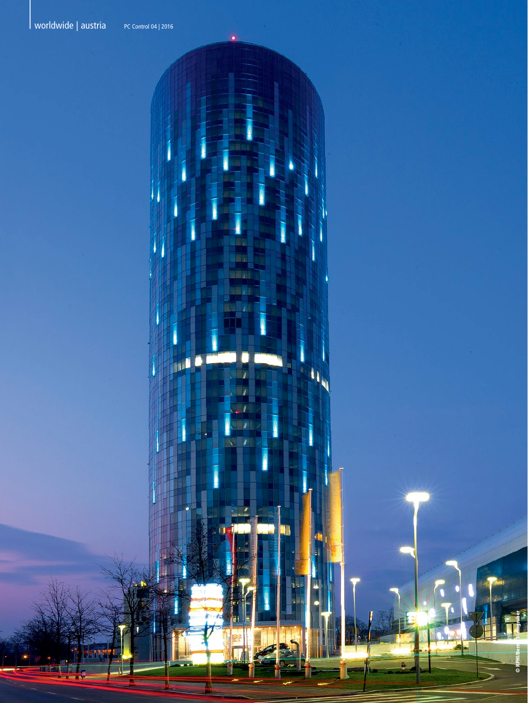$10\%$ 

**And O** 

© RPHI/Bernesteingruber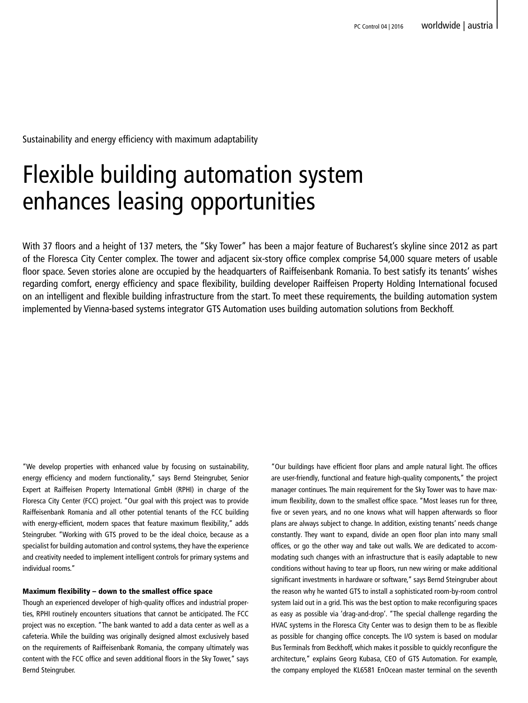Sustainability and energy efficiency with maximum adaptability

# Flexible building automation system enhances leasing opportunities

With 37 floors and a height of 137 meters, the "Sky Tower" has been a major feature of Bucharest's skyline since 2012 as part of the Floresca City Center complex. The tower and adjacent six-story office complex comprise 54,000 square meters of usable floor space. Seven stories alone are occupied by the headquarters of Raiffeisenbank Romania. To best satisfy its tenants' wishes regarding comfort, energy efficiency and space flexibility, building developer Raiffeisen Property Holding International focused on an intelligent and flexible building infrastructure from the start. To meet these requirements, the building automation system implemented by Vienna-based systems integrator GTS Automation uses building automation solutions from Beckhoff.

"We develop properties with enhanced value by focusing on sustainability, energy efficiency and modern functionality," says Bernd Steingruber, Senior Expert at Raiffeisen Property International GmbH (RPHI) in charge of the Floresca City Center (FCC) project. "Our goal with this project was to provide Raiffeisenbank Romania and all other potential tenants of the FCC building with energy-efficient, modern spaces that feature maximum flexibility," adds Steingruber. "Working with GTS proved to be the ideal choice, because as a specialist for building automation and control systems, they have the experience and creativity needed to implement intelligent controls for primary systems and individual rooms."

## Maximum flexibility – down to the smallest office space

Though an experienced developer of high-quality offices and industrial properties, RPHI routinely encounters situations that cannot be anticipated. The FCC project was no exception. "The bank wanted to add a data center as well as a cafeteria. While the building was originally designed almost exclusively based on the requirements of Raiffeisenbank Romania, the company ultimately was content with the FCC office and seven additional floors in the Sky Tower," says Bernd Steingruber.

"Our buildings have efficient floor plans and ample natural light. The offices are user-friendly, functional and feature high-quality components," the project manager continues. The main requirement for the Sky Tower was to have maximum flexibility, down to the smallest office space. "Most leases run for three, five or seven years, and no one knows what will happen afterwards so floor plans are always subject to change. In addition, existing tenants' needs change constantly. They want to expand, divide an open floor plan into many small offices, or go the other way and take out walls. We are dedicated to accommodating such changes with an infrastructure that is easily adaptable to new conditions without having to tear up floors, run new wiring or make additional significant investments in hardware or software," says Bernd Steingruber about the reason why he wanted GTS to install a sophisticated room-by-room control system laid out in a grid. This was the best option to make reconfiguring spaces as easy as possible via 'drag-and-drop'. "The special challenge regarding the HVAC systems in the Floresca City Center was to design them to be as flexible as possible for changing office concepts. The I/O system is based on modular Bus Terminals from Beckhoff, which makes it possible to quickly reconfigure the architecture," explains Georg Kubasa, CEO of GTS Automation. For example, the company employed the KL6581 EnOcean master terminal on the seventh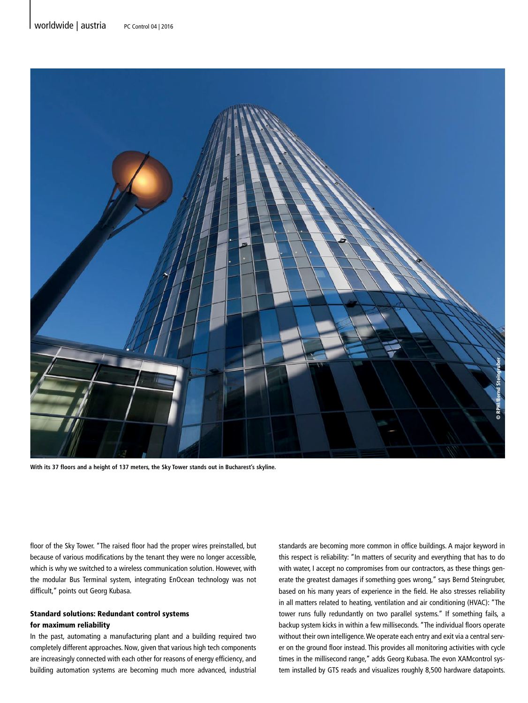

**With its 37 floors and a height of 137 meters, the Sky Tower stands out in Bucharest's skyline.**

floor of the Sky Tower. "The raised floor had the proper wires preinstalled, but because of various modifications by the tenant they were no longer accessible, which is why we switched to a wireless communication solution. However, with the modular Bus Terminal system, integrating EnOcean technology was not difficult," points out Georg Kubasa.

# Standard solutions: Redundant control systems for maximum reliability

In the past, automating a manufacturing plant and a building required two completely different approaches. Now, given that various high tech components are increasingly connected with each other for reasons of energy efficiency, and building automation systems are becoming much more advanced, industrial standards are becoming more common in office buildings. A major keyword in this respect is reliability: "In matters of security and everything that has to do with water, I accept no compromises from our contractors, as these things generate the greatest damages if something goes wrong," says Bernd Steingruber, based on his many years of experience in the field. He also stresses reliability in all matters related to heating, ventilation and air conditioning (HVAC): "The tower runs fully redundantly on two parallel systems." If something fails, a backup system kicks in within a few milliseconds. "The individual floors operate without their own intelligence. We operate each entry and exit via a central server on the ground floor instead. This provides all monitoring activities with cycle times in the millisecond range," adds Georg Kubasa. The evon XAMcontrol system installed by GTS reads and visualizes roughly 8,500 hardware datapoints.